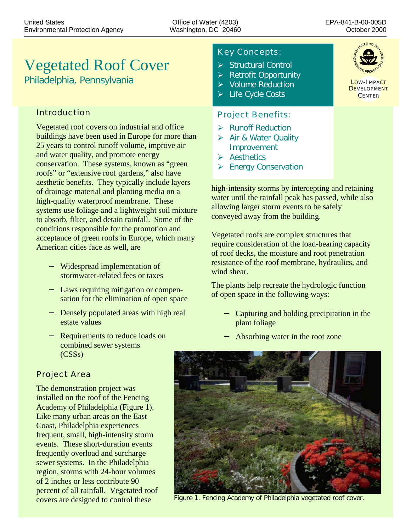# Vegetated Roof Cover

*Philadelphia, Pennsylvania*

# Introduction

Vegetated roof covers on industrial and office buildings have been used in Europe for more than 25 years to control runoff volume, improve air and water quality, and promote energy conservation. These systems, known as "green roofs" or "extensive roof gardens," also have aesthetic benefits. They typically include layers of drainage material and planting media on a high-quality waterproof membrane. These systems use foliage and a lightweight soil mixture to absorb, filter, and detain rainfall. Some of the conditions responsible for the promotion and acceptance of green roofs in Europe, which many American cities face as well, are

- − Widespread implementation of stormwater-related fees or taxes
- − Laws requiring mitigation or compensation for the elimination of open space
- − Densely populated areas with high real estate values
- − Requirements to reduce loads on combined sewer systems (CSSs)

# Project Area

The demonstration project was installed on the roof of the Fencing Academy of Philadelphia (Figure 1). Like many urban areas on the East Coast, Philadelphia experiences frequent, small, high-intensity storm events. These short-duration events frequently overload and surcharge sewer systems. In the Philadelphia region, storms with 24-hour volumes of 2 inches or less contribute 90 percent of all rainfall. Vegetated roof covers are designed to control these

# Key Concepts:

- $\triangleright$  Structural Control
- $\triangleright$  Retrofit Opportunity
- $\triangleright$  Volume Reduction
- $\triangleright$  Life Cycle Costs

### Project Benefits:

- $\triangleright$  Runoff Reduction
- **▶ Air & Water Quality** Improvement
- $\triangleright$  Aesthetics
- **▶ Energy Conservation**

high-intensity storms by intercepting and retaining water until the rainfall peak has passed, while also allowing larger storm events to be safely conveyed away from the building.

Vegetated roofs are complex structures that require consideration of the load-bearing capacity of roof decks, the moisture and root penetration resistance of the roof membrane, hydraulics, and wind shear.

The plants help recreate the hydrologic function of open space in the following ways:

- − Capturing and holding precipitation in the plant foliage
- − Absorbing water in the root zone



Figure 1. Fencing Academy of Philadelphia vegetated roof cover.



LOW-IMPACT **DEVELOPMENT** CENTER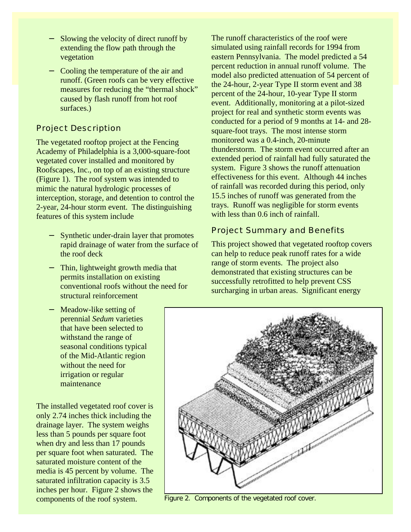- Slowing the velocity of direct runoff by extending the flow path through the vegetation
- − Cooling the temperature of the air and runoff. (Green roofs can be very effective measures for reducing the "thermal shock" caused by flash runoff from hot roof surfaces.)

# Project Description

The vegetated rooftop project at the Fencing Academy of Philadelphia is a 3,000-square-foot vegetated cover installed and monitored by Roofscapes, Inc., on top of an existing structure (Figure 1). The roof system was intended to mimic the natural hydrologic processes of interception, storage, and detention to control the 2-year, 24-hour storm event. The distinguishing features of this system include

- − Synthetic under-drain layer that promotes rapid drainage of water from the surface of the roof deck
- Thin, lightweight growth media that permits installation on existing conventional roofs without the need for structural reinforcement
- Meadow-like setting of perennial *Sedum* varieties that have been selected to withstand the range of seasonal conditions typical of the Mid-Atlantic region without the need for irrigation or regular maintenance

The installed vegetated roof cover is only 2.74 inches thick including the drainage layer. The system weighs less than 5 pounds per square foot when dry and less than 17 pounds per square foot when saturated. The saturated moisture content of the media is 45 percent by volume. The saturated infiltration capacity is 3.5 inches per hour. Figure 2 shows the components of the roof system.

The runoff characteristics of the roof were simulated using rainfall records for 1994 from eastern Pennsylvania. The model predicted a 54 percent reduction in annual runoff volume. The model also predicted attenuation of 54 percent of the 24-hour, 2-year Type II storm event and 38 percent of the 24-hour, 10-year Type II storm event. Additionally, monitoring at a pilot-sized project for real and synthetic storm events was conducted for a period of 9 months at 14- and 28 square-foot trays. The most intense storm monitored was a 0.4-inch, 20-minute thunderstorm. The storm event occurred after an extended period of rainfall had fully saturated the system. Figure 3 shows the runoff attenuation effectiveness for this event. Although 44 inches of rainfall was recorded during this period, only 15.5 inches of runoff was generated from the trays. Runoff was negligible for storm events with less than 0.6 inch of rainfall.

# Project Summary and Benefits

This project showed that vegetated rooftop covers can help to reduce peak runoff rates for a wide range of storm events. The project also demonstrated that existing structures can be successfully retrofitted to help prevent CSS surcharging in urban areas. Significant energy



Figure 2. Components of the vegetated roof cover.